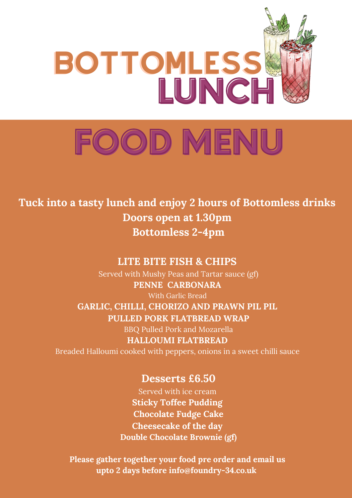

**Tuck into a tasty lunch and enjoy 2 hours of Bottomless drinks Doors open at 1.30pm Bottomless 2-4pm**

### **LITE BITE FISH & CHIPS**

Served with Mushy Peas and Tartar sauce (gf) **PENNE CARBONARA**

With Garlic Bread

**GARLIC, CHILLI, CHORIZO AND PRAWN PIL PIL**

**PULLED PORK FLATBREAD WRAP**

BBQ Pulled Pork and Mozarella **HALLOUMI FLATBREAD**

Breaded Halloumi cooked with peppers, onions in a sweet chilli sauce

### **Desserts £6.50**

Served with ice cream **Sticky Toffee Pudding Chocolate Fudge Cake Cheesecake of the day Double Chocolate Brownie (gf)**

**Please gather together your food pre order and email us upto 2 days before info@foundry-34.co.uk**